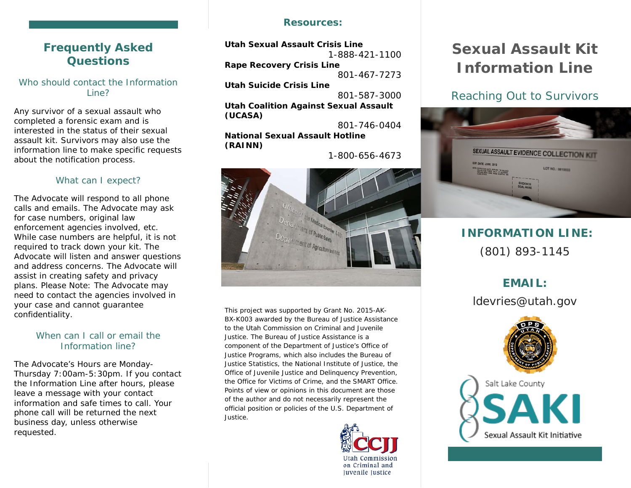# **Frequently Asked Questions**

Who should contact the Information Line?

Any survivor of a sexual assault who completed a forensic exam and is interested in the status of their sexual assault kit. Survivors may also use the information line to make specific requests about the notification process.

#### What can I expect?

The Advocate will respond to all phone calls and emails. The Advocate may ask for case numbers, original law enforcement agencies involved, etc. While case numbers are helpful, it is not required to track down your kit. The Advocate will listen and answer questions and address concerns. The Advocate will assist in creating safety and privacy plans. *Please Note: The Advocate may need to contact the agencies involved in your case and cannot guarantee confidentiality.* 

#### When can I call or email the Information line?

The Advocate's Hours are Monday-Thursday 7:00am-5:30pm. If you contact the Information Line after hours, please leave a message with your contact information and safe times to call. Your phone call will be returned the next business day, unless otherwise requested.

#### **Resources:**

**Utah Sexual Assault Crisis Line**  1-888-421-1100 **Rape Recovery Crisis Line**

801-467-7273

**Utah Suicide Crisis Line**

801-587-3000

**Utah Coalition Against Sexual Assault (UCASA)**

801-746-0404 **National Sexual Assault Hotline (RAINN)**

1-800-656-4673



This project was supported by Grant No. 2015-AK-BX-K003 awarded by the Bureau of Justice Assistance to the Utah Commission on Criminal and Juvenile Justice. The Bureau of Justice Assistance is a component of the Department of Justice's Office of Justice Programs, which also includes the Bureau of Justice Statistics, the National Institute of Justice, the Office of Juvenile Justice and Delinquency Prevention, the Office for Victims of Crime, and the SMART Office. Points of view or opinions in this document are those of the author and do not necessarily represent the official position or policies of the U.S. Department of Justice.



# **Sexual Assault Kit Information Line**

# *Reaching Out to Survivors*



# **INFORMATION LINE:** (801) 893-1145

# **EMAIL:**

ldevries@utah.gov